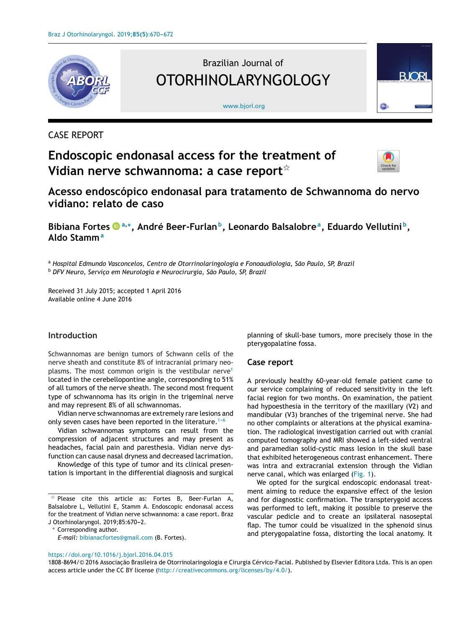

## CASE REPORT

# **Endoscopic endonasal access for the treatment of Vidian nerve schwannoma: a case report**-



**Acesso endoscópico endonasal para tratamento de Schwannoma do nervo vidiano: relato de caso**

[www.bjorl.org](http://www.bjorl.org)

Brazilian Journal of

OTORHINOLARYNGOLOGY

**Bibiana Fortes <sup>a</sup>,∗, André Beer-Furlanb, Leonardo Balsalobrea, Eduardo Vellutini b, Aldo Stamm<sup>a</sup>**

<sup>a</sup> *Hospital Edmundo Vasconcelos, Centro de Otorrinolaringologia e Fonoaudiologia, São Paulo, SP, Brazil*

<sup>b</sup> *DFV Neuro, Servic¸o em Neurologia e Neurocirurgia, São Paulo, SP, Brazil*

Received 31 July 2015; accepted 1 April 2016 Available online 4 June 2016

## **Introduction**

Schwannomas are benign tumors of Schwann cells of the nerve sheath and constitute 8% of intracranial primary neo-plasms. The most common origin is the vestibular nerve<sup>[1](#page-2-0)</sup> located in the cerebellopontine angle, corresponding to 51% of all tumors of the nerve sheath. The second most frequent type of schwannoma has its origin in the trigeminal nerve and may represent 8% of all schwannomas.

Vidian nerve schwannomas are extremely rare lesions and only seven cases have been reported in the literature.<sup>1-6</sup>

Vidian schwannomas symptoms can result from the compression of adjacent structures and may present as headaches, facial pain and paresthesia. Vidian nerve dysfunction can cause nasal dryness and decreased lacrimation.

Knowledge of this type of tumor and its clinical presentation is important in the differential diagnosis and surgical

Corresponding author.

*E-mail:* [bibianacfortes@gmail.com](mailto:bibianacfortes@gmail.com) (B. Fortes).

## planning of skull-base tumors, more precisely those in the pterygopalatine fossa.

## **Case report**

A previously healthy 60-year-old female patient came to our service complaining of reduced sensitivity in the left facial region for two months. On examination, the patient had hypoesthesia in the territory of the maxillary (V2) and mandibular (V3) branches of the trigeminal nerve. She had no other complaints or alterations at the physical examination. The radiological investigation carried out with cranial computed tomography and MRI showed a left-sided ventral and paramedian solid-cystic mass lesion in the skull base that exhibited heterogeneous contrast enhancement. There was intra and extracranial extension through the Vidian nerve canal, which was enlarged [\(Fig.](#page-1-0) 1).

We opted for the surgical endoscopic endonasal treatment aiming to reduce the expansive effect of the lesion and for diagnostic confirmation. The transpterygoid access was performed to left, making it possible to preserve the vascular pedicle and to create an ipsilateral nasoseptal flap. The tumor could be visualized in the sphenoid sinus and pterygopalatine fossa, distorting the local anatomy. It

#### <https://doi.org/10.1016/j.bjorl.2016.04.015>

1808-8694/© 2016 Associacão Brasileira de Otorrinolaringologia e Cirurgia Cérvico-Facial. Published by Elsevier Editora Ltda. This is an open access article under the CC BY license (<http://creativecommons.org/licenses/by/4.0/>).

 $\overline{\mathsf{A}}$  Please cite this article as: Fortes B, Beer-Furlan A, Balsalobre L, Vellutini E, Stamm A. Endoscopic endonasal access for the treatment of Vidian nerve schwannoma: a case report. Braz J Otorhinolaryngol. 2019;85:670-2.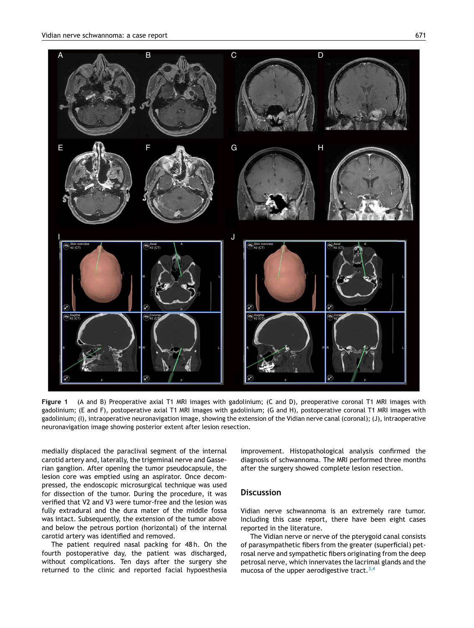<span id="page-1-0"></span>

**Figure 1** (A and B) Preoperative axial T1 MRI images with gadolinium; (C and D), preoperative coronal T1 MRI images with gadolinium; (E and F), postoperative axial T1 MRI images with gadolinium; (G and H), postoperative coronal T1 MRI images with gadolinium; (I), intraoperative neuronavigation image, showing the extension of the Vidian nerve canal (coronal); (J), intraoperative neuronavigation image showing posterior extent after lesion resection.

medially displaced the paraclival segment of the internal carotid artery and, laterally, the trigeminal nerve and Gasserian ganglion. After opening the tumor pseudocapsule, the lesion core was emptied using an aspirator. Once decompressed, the endoscopic microsurgical technique was used for dissection of the tumor. During the procedure, it was verified that V2 and V3 were tumor-free and the lesion was fully extradural and the dura mater of the middle fossa was intact. Subsequently, the extension of the tumor above and below the petrous portion (horizontal) of the internal carotid artery was identified and removed.

The patient required nasal packing for 48h. On the fourth postoperative day, the patient was discharged, without complications. Ten days after the surgery she returned to the clinic and reported facial hypoesthesia

improvement. Histopathological analysis confirmed the diagnosis of schwannoma. The MRI performed three months after the surgery showed complete lesion resection.

## **Discussion**

Vidian nerve schwannoma is an extremely rare tumor. Including this case report, there have been eight cases reported in the literature.

The Vidian nerve or nerve of the pterygoid canal consists of parasympathetic fibers from the greater (superficial) petrosal nerve and sympathetic fibers originating from the deep petrosal nerve, which innervates the lacrimal glands and the mucosa of the upper aerodigestive tract.  $3,4$